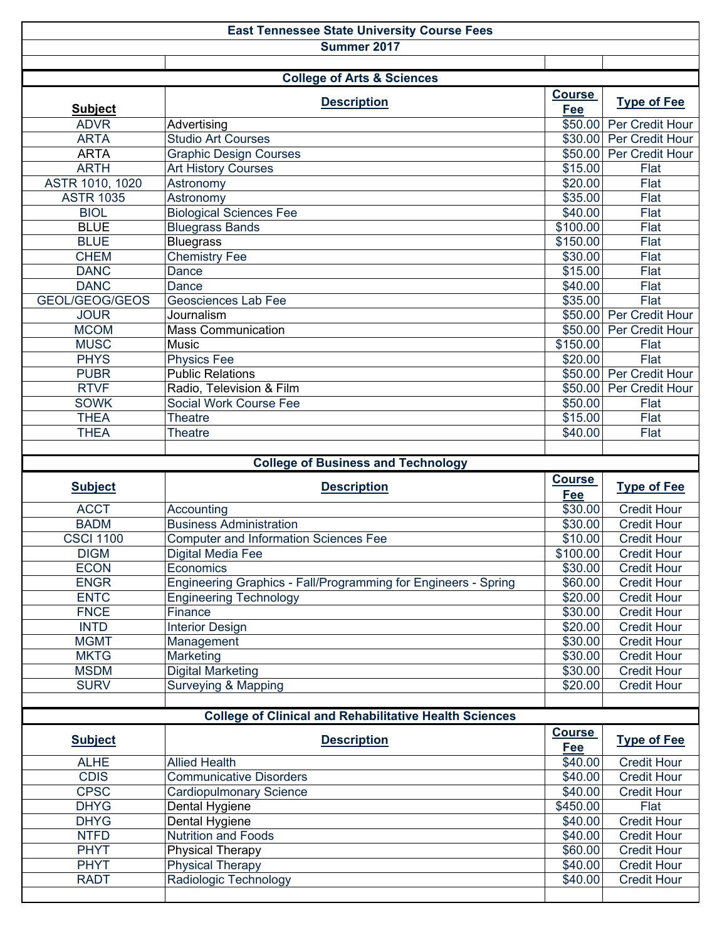| <b>East Tennessee State University Course Fees</b> |                                                                |                      |                                          |  |  |  |  |  |  |
|----------------------------------------------------|----------------------------------------------------------------|----------------------|------------------------------------------|--|--|--|--|--|--|
| Summer 2017                                        |                                                                |                      |                                          |  |  |  |  |  |  |
|                                                    |                                                                |                      |                                          |  |  |  |  |  |  |
| <b>College of Arts &amp; Sciences</b>              |                                                                |                      |                                          |  |  |  |  |  |  |
|                                                    | <b>Description</b>                                             | <b>Course</b>        | <b>Type of Fee</b>                       |  |  |  |  |  |  |
| <b>Subject</b><br><b>ADVR</b>                      | Advertising                                                    | Fee<br>\$50.00       | Per Credit Hour                          |  |  |  |  |  |  |
| <b>ARTA</b>                                        | <b>Studio Art Courses</b>                                      | \$30.00              | Per Credit Hour                          |  |  |  |  |  |  |
| <b>ARTA</b>                                        | <b>Graphic Design Courses</b>                                  | \$50.00              | Per Credit Hour                          |  |  |  |  |  |  |
| <b>ARTH</b>                                        | <b>Art History Courses</b>                                     | \$15.00              | Flat                                     |  |  |  |  |  |  |
| ASTR 1010, 1020                                    | Astronomy                                                      | \$20.00              | Flat                                     |  |  |  |  |  |  |
| <b>ASTR 1035</b>                                   | Astronomy                                                      | \$35.00              | Flat                                     |  |  |  |  |  |  |
| <b>BIOL</b>                                        | <b>Biological Sciences Fee</b>                                 | \$40.00              | Flat                                     |  |  |  |  |  |  |
| <b>BLUE</b>                                        | <b>Bluegrass Bands</b>                                         | \$100.00             | Flat                                     |  |  |  |  |  |  |
| <b>BLUE</b>                                        | <b>Bluegrass</b>                                               | \$150.00             | Flat                                     |  |  |  |  |  |  |
| <b>CHEM</b>                                        | <b>Chemistry Fee</b>                                           | \$30.00              | Flat                                     |  |  |  |  |  |  |
| <b>DANC</b>                                        | Dance                                                          | \$15.00              | Flat                                     |  |  |  |  |  |  |
| <b>DANC</b>                                        | Dance                                                          | \$40.00              | Flat                                     |  |  |  |  |  |  |
| GEOL/GEOG/GEOS                                     | Geosciences Lab Fee                                            | \$35.00              | Flat                                     |  |  |  |  |  |  |
| <b>JOUR</b>                                        | Journalism                                                     | \$50.00              | Per Credit Hour                          |  |  |  |  |  |  |
| <b>MCOM</b>                                        | <b>Mass Communication</b>                                      | \$50.00              | Per Credit Hour                          |  |  |  |  |  |  |
| <b>MUSC</b>                                        | Music                                                          | \$150.00             | Flat                                     |  |  |  |  |  |  |
| <b>PHYS</b>                                        | <b>Physics Fee</b>                                             | \$20.00              | Flat                                     |  |  |  |  |  |  |
| <b>PUBR</b>                                        | <b>Public Relations</b>                                        | \$50.00              | Per Credit Hour                          |  |  |  |  |  |  |
| <b>RTVF</b>                                        | Radio, Television & Film                                       | \$50.00              | Per Credit Hour                          |  |  |  |  |  |  |
| <b>SOWK</b>                                        | Social Work Course Fee                                         | \$50.00              | Flat                                     |  |  |  |  |  |  |
| <b>THEA</b>                                        | <b>Theatre</b>                                                 | \$15.00              | Flat                                     |  |  |  |  |  |  |
| <b>THEA</b>                                        | <b>Theatre</b>                                                 | \$40.00              | Flat                                     |  |  |  |  |  |  |
|                                                    |                                                                |                      |                                          |  |  |  |  |  |  |
|                                                    |                                                                |                      |                                          |  |  |  |  |  |  |
|                                                    | <b>College of Business and Technology</b>                      |                      |                                          |  |  |  |  |  |  |
| <b>Subject</b>                                     | <b>Description</b>                                             | <b>Course</b><br>Fee | <b>Type of Fee</b>                       |  |  |  |  |  |  |
| <b>ACCT</b>                                        | Accounting                                                     | \$30.00              | <b>Credit Hour</b>                       |  |  |  |  |  |  |
| <b>BADM</b>                                        | <b>Business Administration</b>                                 | \$30.00              | <b>Credit Hour</b>                       |  |  |  |  |  |  |
| <b>CSCI 1100</b>                                   | <b>Computer and Information Sciences Fee</b>                   | \$10.00              | <b>Credit Hour</b>                       |  |  |  |  |  |  |
| <b>DIGM</b>                                        | <b>Digital Media Fee</b>                                       | \$100.00             | <b>Credit Hour</b>                       |  |  |  |  |  |  |
| <b>ECON</b>                                        | Economics                                                      | \$30.00              | <b>Credit Hour</b>                       |  |  |  |  |  |  |
| <b>ENGR</b>                                        | Engineering Graphics - Fall/Programming for Engineers - Spring | \$60.00              | <b>Credit Hour</b>                       |  |  |  |  |  |  |
| <b>ENTC</b>                                        | <b>Engineering Technology</b>                                  | \$20.00              | <b>Credit Hour</b>                       |  |  |  |  |  |  |
| <b>FNCE</b>                                        | Finance                                                        | \$30.00              | <b>Credit Hour</b>                       |  |  |  |  |  |  |
| <b>INTD</b>                                        | <b>Interior Design</b>                                         | \$20.00              | <b>Credit Hour</b>                       |  |  |  |  |  |  |
| <b>MGMT</b>                                        | Management                                                     | \$30.00              | <b>Credit Hour</b>                       |  |  |  |  |  |  |
| <b>MKTG</b>                                        | Marketing                                                      | \$30.00              | <b>Credit Hour</b>                       |  |  |  |  |  |  |
| <b>MSDM</b>                                        | <b>Digital Marketing</b>                                       | \$30.00              | <b>Credit Hour</b>                       |  |  |  |  |  |  |
| <b>SURV</b>                                        | <b>Surveying &amp; Mapping</b>                                 | \$20.00              | <b>Credit Hour</b>                       |  |  |  |  |  |  |
|                                                    |                                                                |                      |                                          |  |  |  |  |  |  |
|                                                    | <b>College of Clinical and Rehabilitative Health Sciences</b>  |                      |                                          |  |  |  |  |  |  |
| <b>Subject</b>                                     | <b>Description</b>                                             | <b>Course</b><br>Fee | <b>Type of Fee</b>                       |  |  |  |  |  |  |
| <b>ALHE</b>                                        | <b>Allied Health</b>                                           | \$40.00              | <b>Credit Hour</b>                       |  |  |  |  |  |  |
| <b>CDIS</b>                                        | <b>Communicative Disorders</b>                                 | \$40.00              | <b>Credit Hour</b>                       |  |  |  |  |  |  |
| <b>CPSC</b>                                        | <b>Cardiopulmonary Science</b>                                 | \$40.00              | <b>Credit Hour</b>                       |  |  |  |  |  |  |
| <b>DHYG</b>                                        | Dental Hygiene                                                 | \$450.00             | Flat                                     |  |  |  |  |  |  |
| <b>DHYG</b>                                        | Dental Hygiene                                                 | \$40.00              | <b>Credit Hour</b>                       |  |  |  |  |  |  |
| <b>NTFD</b>                                        | <b>Nutrition and Foods</b>                                     | \$40.00              | <b>Credit Hour</b>                       |  |  |  |  |  |  |
| <b>PHYT</b>                                        | <b>Physical Therapy</b>                                        | \$60.00              | <b>Credit Hour</b>                       |  |  |  |  |  |  |
| <b>PHYT</b><br><b>RADT</b>                         | <b>Physical Therapy</b><br>Radiologic Technology               | \$40.00<br>\$40.00   | <b>Credit Hour</b><br><b>Credit Hour</b> |  |  |  |  |  |  |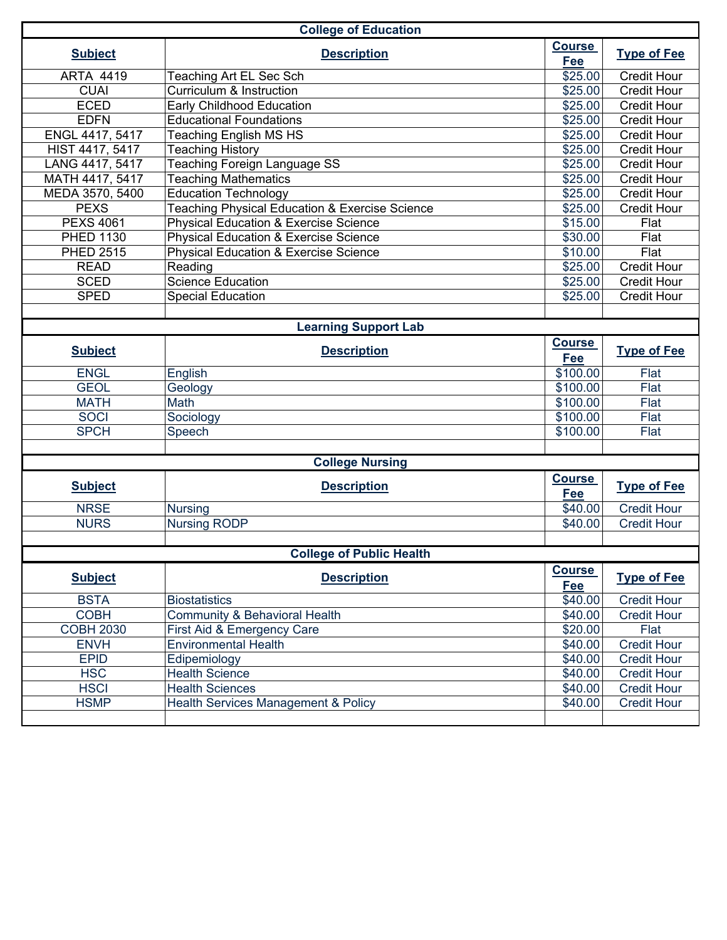| <b>College of Education</b> |                                                  |                      |                    |  |  |  |  |
|-----------------------------|--------------------------------------------------|----------------------|--------------------|--|--|--|--|
| <b>Subject</b>              | <b>Description</b>                               | <b>Course</b><br>Fee | <b>Type of Fee</b> |  |  |  |  |
| <b>ARTA 4419</b>            | Teaching Art EL Sec Sch                          | \$25.00              | <b>Credit Hour</b> |  |  |  |  |
| <b>CUAI</b>                 | Curriculum & Instruction                         | \$25.00              | <b>Credit Hour</b> |  |  |  |  |
| <b>ECED</b>                 | <b>Early Childhood Education</b>                 | \$25.00              | <b>Credit Hour</b> |  |  |  |  |
| <b>EDFN</b>                 | <b>Educational Foundations</b>                   | \$25.00              | <b>Credit Hour</b> |  |  |  |  |
| ENGL 4417, 5417             | <b>Teaching English MS HS</b>                    | \$25.00              | <b>Credit Hour</b> |  |  |  |  |
| HIST 4417, 5417             | <b>Teaching History</b>                          | \$25.00              | <b>Credit Hour</b> |  |  |  |  |
| LANG 4417, 5417             | Teaching Foreign Language SS                     | \$25.00              | Credit Hour        |  |  |  |  |
| MATH 4417, 5417             | <b>Teaching Mathematics</b>                      | \$25.00              | <b>Credit Hour</b> |  |  |  |  |
| MEDA 3570, 5400             | <b>Education Technology</b>                      | \$25.00              | <b>Credit Hour</b> |  |  |  |  |
| <b>PEXS</b>                 | Teaching Physical Education & Exercise Science   | \$25.00              | <b>Credit Hour</b> |  |  |  |  |
| <b>PEXS 4061</b>            | Physical Education & Exercise Science            | \$15.00              | Flat               |  |  |  |  |
| <b>PHED 1130</b>            | <b>Physical Education &amp; Exercise Science</b> | \$30.00              | Flat               |  |  |  |  |
| <b>PHED 2515</b>            | <b>Physical Education &amp; Exercise Science</b> | \$10.00              | Flat               |  |  |  |  |
| <b>READ</b>                 | Reading                                          | \$25.00              | <b>Credit Hour</b> |  |  |  |  |
| <b>SCED</b>                 | <b>Science Education</b>                         | \$25.00              | <b>Credit Hour</b> |  |  |  |  |
| <b>SPED</b>                 | <b>Special Education</b>                         | \$25.00              | <b>Credit Hour</b> |  |  |  |  |
|                             |                                                  |                      |                    |  |  |  |  |
|                             | <b>Learning Support Lab</b>                      |                      |                    |  |  |  |  |
| <b>Subject</b>              | <b>Description</b>                               | <b>Course</b>        | <b>Type of Fee</b> |  |  |  |  |
|                             |                                                  | Fee                  |                    |  |  |  |  |
| <b>ENGL</b>                 | English                                          | \$100.00             | Flat               |  |  |  |  |
| <b>GEOL</b>                 | Geology                                          | \$100.00             | Flat               |  |  |  |  |
| <b>MATH</b>                 | Math                                             | \$100.00             | Flat               |  |  |  |  |
| <b>SOCI</b>                 | Sociology                                        | \$100.00             | Flat               |  |  |  |  |
| <b>SPCH</b>                 | Speech                                           | \$100.00             | Flat               |  |  |  |  |
|                             |                                                  |                      |                    |  |  |  |  |
| <b>College Nursing</b>      |                                                  |                      |                    |  |  |  |  |
| <b>Subject</b>              | <b>Description</b>                               | <b>Course</b><br>Fee | <b>Type of Fee</b> |  |  |  |  |
| <b>NRSE</b>                 | <b>Nursing</b>                                   | \$40.00              | <b>Credit Hour</b> |  |  |  |  |
| <b>NURS</b>                 | <b>Nursing RODP</b>                              | \$40.00              | <b>Credit Hour</b> |  |  |  |  |
|                             |                                                  |                      |                    |  |  |  |  |
|                             | <b>College of Public Health</b>                  |                      |                    |  |  |  |  |
| <b>Subject</b>              | <b>Description</b>                               | <b>Course</b><br>Fee | <b>Type of Fee</b> |  |  |  |  |
| <b>BSTA</b>                 | <b>Biostatistics</b>                             | \$40.00              | <b>Credit Hour</b> |  |  |  |  |
| <b>COBH</b>                 | <b>Community &amp; Behavioral Health</b>         | \$40.00              | <b>Credit Hour</b> |  |  |  |  |
| <b>COBH 2030</b>            | First Aid & Emergency Care                       | \$20.00              | Flat               |  |  |  |  |
| <b>ENVH</b>                 | <b>Environmental Health</b>                      | \$40.00              | <b>Credit Hour</b> |  |  |  |  |
| <b>EPID</b>                 | Edipemiology                                     | \$40.00              | <b>Credit Hour</b> |  |  |  |  |
| <b>HSC</b>                  | <b>Health Science</b>                            | \$40.00              | <b>Credit Hour</b> |  |  |  |  |
| <b>HSCI</b>                 | <b>Health Sciences</b>                           | \$40.00              | <b>Credit Hour</b> |  |  |  |  |
| <b>HSMP</b>                 | <b>Health Services Management &amp; Policy</b>   | \$40.00              | <b>Credit Hour</b> |  |  |  |  |
|                             |                                                  |                      |                    |  |  |  |  |